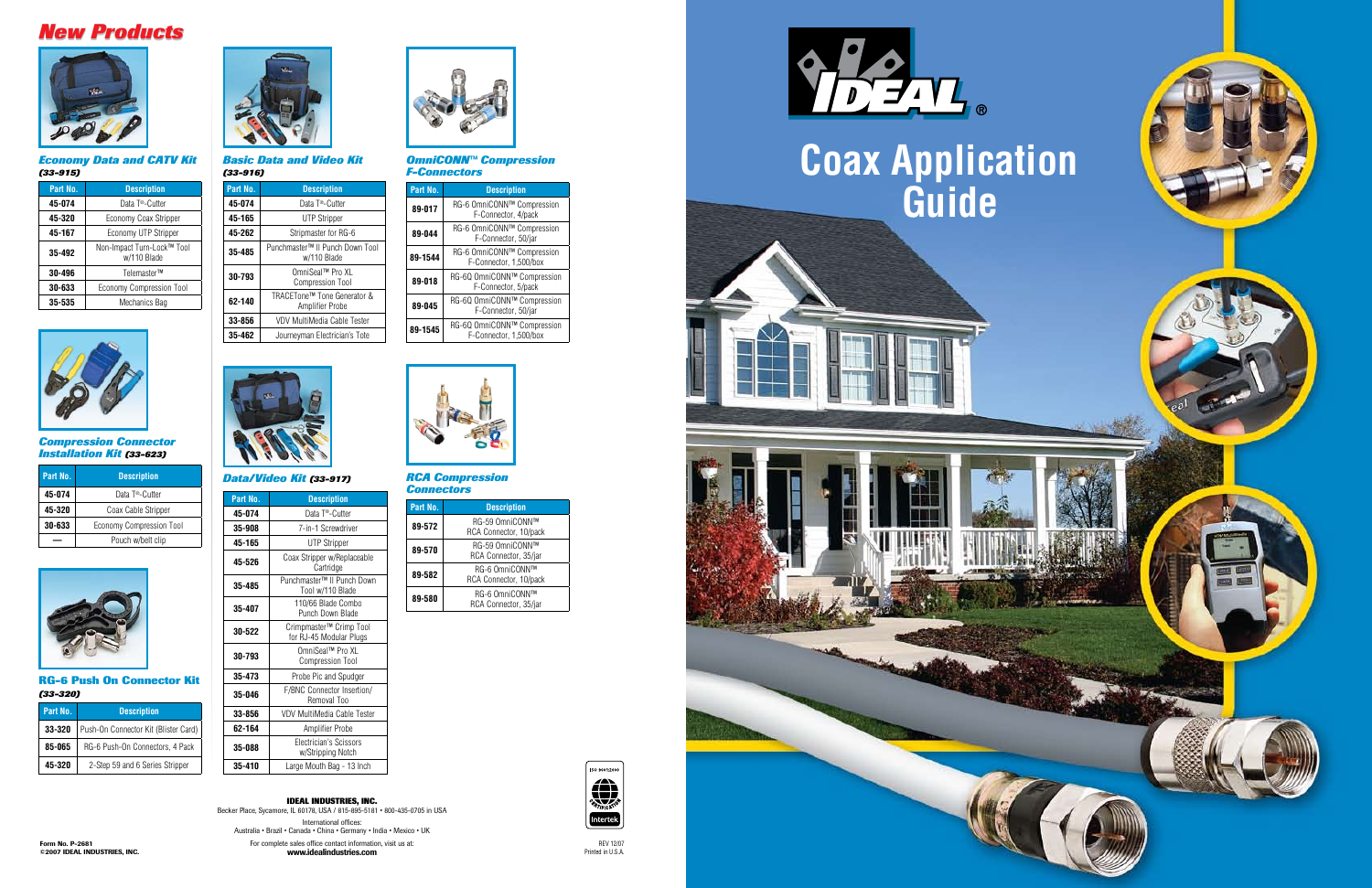



*Economy Data and CATV Kit (33-915)*



*Basic Data and Video Kit (33-916)* 

#### *OmniCONN™ Compression F-Connectors*

#### *RCA Compression Connectors*

#### *Data/Video Kit (33-917)*

#### *Compression Connector Installation Kit (33-623)*

### **RG-6 Push On Connector Kit** *(33-320)*

| Part No. | <b>Description</b>                        |
|----------|-------------------------------------------|
| 45-074   | Data T <sup>®</sup> -Cutter               |
| 45-320   | Economy Coax Stripper                     |
| 45-167   | Economy UTP Stripper                      |
| 35-492   | Non-Impact Turn-Lock™ Tool<br>w/110 Blade |
| 30-496   | Telemaster™                               |
| 30-633   | Economy Compression Tool                  |
| 35-535   | Mechanics Bag                             |



| Part No. | <b>Description</b>                             |
|----------|------------------------------------------------|
| 45-074   | Data T <sup>®</sup> -Cutter                    |
| 45-165   | <b>UTP Stripper</b>                            |
| 45-262   | Stripmaster for RG-6                           |
| 35-485   | Punchmaster™ II Punch Down Tool<br>w/110 Blade |
| 30-793   | OmniSeal™ Pro XL<br><b>Compression Tool</b>    |
| 62-140   | TRACETone™ Tone Generator &<br>Amplifier Probe |
| 33-856   | VDV MultiMedia Cable Tester                    |
| 35-462   | Journeyman Electrician's Tote                  |



| Part No. | <b>Description</b>                                    |
|----------|-------------------------------------------------------|
| 89-017   | RG-6 OmniCONN™ Compression<br>F-Connector, 4/pack     |
| 89-044   | RG-6 OmniCONN™ Compression<br>F-Connector, 50/jar     |
| 89-1544  | RG-6 OmniCONN™ Compression<br>F-Connector, 1,500/box  |
| 89-018   | RG-6Q OmniCONN™ Compression<br>F-Connector, 5/pack    |
| 89-045   | RG-6Q OmniCONN™ Compression<br>F-Connector, 50/jar    |
| 89-1545  | RG-6Q OmniCONN™ Compression<br>F-Connector, 1,500/box |



**IDEAL INDUSTRIES, INC.**<br>Becker Place, Sycamore, IL 60178, USA / 815-895-5181 • 800-435-0705 in USA International offices: Australia • Brazil • Canada • China • Germany • India • Mexico • UK For complete sales office contact information, visit us at: www.idealindustries.com

# *New Products New Products*

| Part No. | <b>Description</b>                              |
|----------|-------------------------------------------------|
| 89-572   | RG-59 OmniCONN™<br>RCA Connector, 10/pack       |
| 89-570   | RG-59 OmniCONN™<br>RCA Connector, 35/jar        |
| 89-582   | <b>RG-6 OmniCONN™</b><br>RCA Connector, 10/pack |
| 89-580   | RG-6 OmniCONN™<br>RCA Connector, 35/jar         |

| Part No. | <b>Description</b>              |
|----------|---------------------------------|
| 45-074   | Data T <sup>®</sup> -Cutter     |
| 45-320   | Coax Cable Stripper             |
| 30-633   | <b>Economy Compression Tool</b> |
|          | Pouch w/belt clip               |



| Part No. | <b>Description</b>                   |
|----------|--------------------------------------|
| 33-320   | Push-On Connector Kit (Blister Card) |
| 85-065   | RG-6 Push-On Connectors, 4 Pack      |
| 45-320   | 2-Step 59 and 6 Series Stripper      |

| Part No. | <b>Description</b>                                 |
|----------|----------------------------------------------------|
| 45-074   | Data T®-Cutter                                     |
| 35-908   | 7-in-1 Screwdriver                                 |
| 45-165   | UTP Stripper                                       |
| 45-526   | Coax Stripper w/Replaceable<br>Cartridge           |
| 35-485   | Punchmaster™ II Punch Down<br>Tool w/110 Blade     |
| 35-407   | 110/66 Blade Combo<br>Punch Down Blade             |
| 30-522   | Crimpmaster™ Crimp Tool<br>for RJ-45 Modular Plugs |
| 30-793   | OmniSeal™ Pro XL<br><b>Compression Tool</b>        |
| 35-473   | Probe Pic and Spudger                              |
| 35-046   | F/BNC Connector Insertion/<br>Removal Too          |
| 33-856   | VDV MultiMedia Cable Tester                        |
| 62-164   | Amplifier Probe                                    |
| 35-088   | Electrician's Scissors<br>w/Stripping Notch        |

**35-410 Large Mouth Bag - 13 Inch** 



REV 12/07 Printed in U.S.A.

itertek

ISO 9001:2000

 $\bigoplus_{\gamma_{\gamma_{\mu_{\nu}}} \in \mathcal{N}}$ 



Form No. P-2681 ©2007 IDEAL INDUSTRIES, INC.